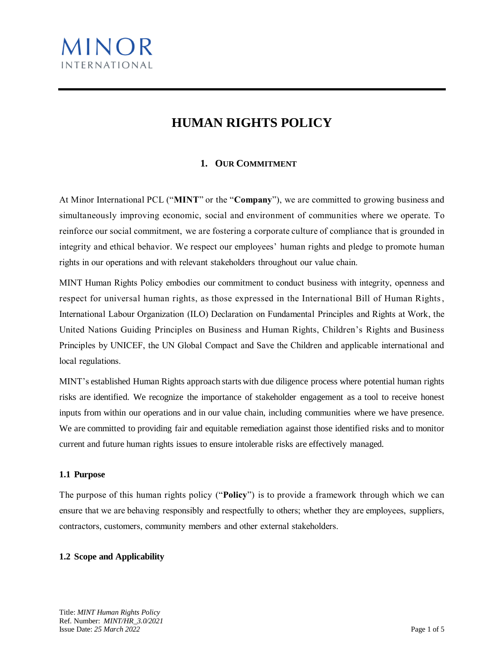

# **HUMAN RIGHTS POLICY**

# **1. OUR COMMITMENT**

At Minor International PCL ("**MINT**" or the "**Company**"), we are committed to growing business and simultaneously improving economic, social and environment of communities where we operate. To reinforce our social commitment, we are fostering a corporate culture of compliance that is grounded in integrity and ethical behavior. We respect our employees' human rights and pledge to promote human rights in our operations and with relevant stakeholders throughout our value chain.

MINT Human Rights Policy embodies our commitment to conduct business with integrity, openness and respect for universal human rights, as those expressed in the International Bill of Human Rights, International Labour Organization (ILO) Declaration on Fundamental Principles and Rights at Work, the United Nations Guiding Principles on Business and Human Rights, Children's Rights and Business Principles by UNICEF, the UN Global Compact and Save the Children and applicable international and local regulations.

MINT's established Human Rights approach starts with due diligence process where potential human rights risks are identified. We recognize the importance of stakeholder engagement as a tool to receive honest inputs from within our operations and in our value chain, including communities where we have presence. We are committed to providing fair and equitable remediation against those identified risks and to monitor current and future human rights issues to ensure intolerable risks are effectively managed.

#### **1.1 Purpose**

The purpose of this human rights policy ("**Policy**") is to provide a framework through which we can ensure that we are behaving responsibly and respectfully to others; whether they are employees, suppliers, contractors, customers, community members and other external stakeholders.

#### **1.2 Scope and Applicability**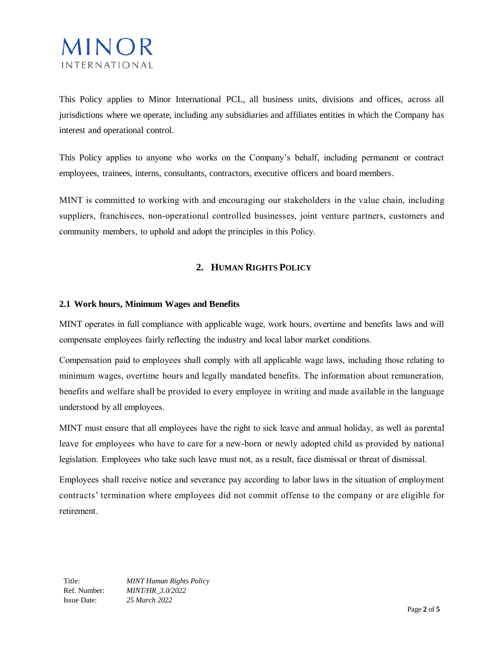

This Policy applies to Minor International PCL, all business units, divisions and offices, across all jurisdictions where we operate, including any subsidiaries and affiliates entities in which the Company has interest and operational control.

This Policy applies to anyone who works on the Company's behalf, including permanent or contract employees, trainees, interns, consultants, contractors, executive officers and board members.

MINT is committed to working with and encouraging our stakeholders in the value chain, including suppliers, franchisees, non-operational controlled businesses, joint venture partners, customers and community members, to uphold and adopt the principles in this Policy.

## **2. HUMAN RIGHTS POLICY**

#### **2.1 Work hours, Minimum Wages and Benefits**

MINT operates in full compliance with applicable wage, work hours, overtime and benefits laws and will compensate employees fairly reflecting the industry and local labor market conditions.

Compensation paid to employees shall comply with all applicable wage laws, including those relating to minimum wages, overtime hours and legally mandated benefits. The information about remuneration, benefits and welfare shall be provided to every employee in writing and made available in the language understood by all employees.

MINT must ensure that all employees have the right to sick leave and annual holiday, as well as parental leave for employees who have to care for a new-born or newly adopted child as provided by national legislation. Employees who take such leave must not, as a result, face dismissal or threat of dismissal.

Employees shall receive notice and severance pay according to labor laws in the situation of employment contracts' termination where employees did not commit offense to the company or are eligible for retirement.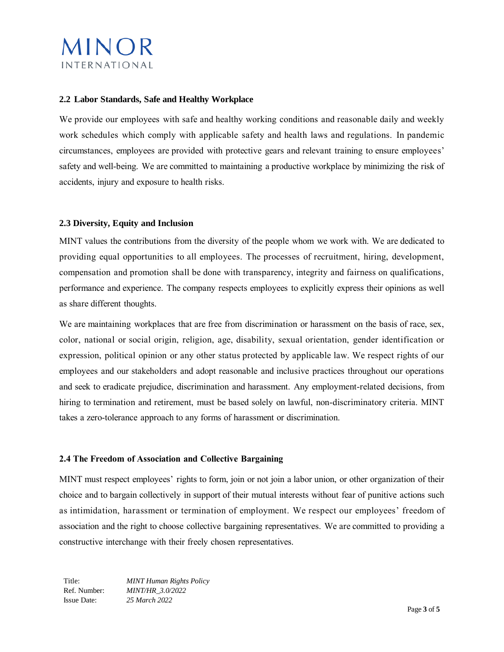

#### **2.2 Labor Standards, Safe and Healthy Workplace**

We provide our employees with safe and healthy working conditions and reasonable daily and weekly work schedules which comply with applicable safety and health laws and regulations. In pandemic circumstances, employees are provided with protective gears and relevant training to ensure employees' safety and well-being. We are committed to maintaining a productive workplace by minimizing the risk of accidents, injury and exposure to health risks.

#### **2.3 Diversity, Equity and Inclusion**

MINT values the contributions from the diversity of the people whom we work with. We are dedicated to providing equal opportunities to all employees. The processes of recruitment, hiring, development, compensation and promotion shall be done with transparency, integrity and fairness on qualifications, performance and experience. The company respects employees to explicitly express their opinions as well as share different thoughts.

We are maintaining workplaces that are free from discrimination or harassment on the basis of race, sex, color, national or social origin, religion, age, disability, sexual orientation, gender identification or expression, political opinion or any other status protected by applicable law. We respect rights of our employees and our stakeholders and adopt reasonable and inclusive practices throughout our operations and seek to eradicate prejudice, discrimination and harassment. Any employment-related decisions, from hiring to termination and retirement, must be based solely on lawful, non-discriminatory criteria. MINT takes a zero-tolerance approach to any forms of harassment or discrimination.

#### **2.4 The Freedom of Association and Collective Bargaining**

MINT must respect employees' rights to form, join or not join a labor union, or other organization of their choice and to bargain collectively in support of their mutual interests without fear of punitive actions such as intimidation, harassment or termination of employment. We respect our employees' freedom of association and the right to choose collective bargaining representatives. We are committed to providing a constructive interchange with their freely chosen representatives.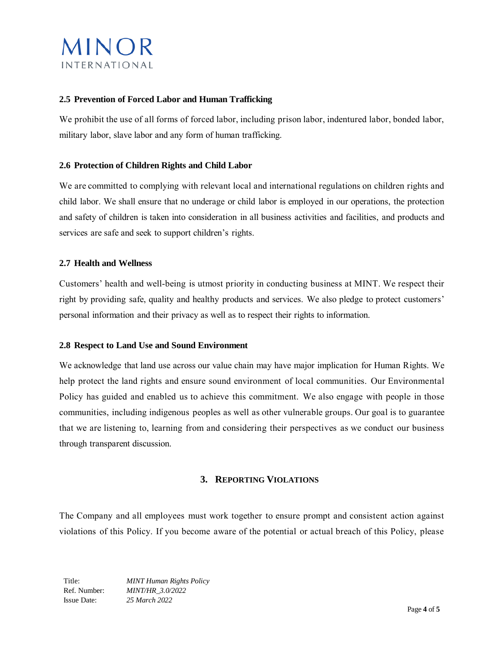

#### **2.5 Prevention of Forced Labor and Human Trafficking**

We prohibit the use of all forms of forced labor, including prison labor, indentured labor, bonded labor, military labor, slave labor and any form of human trafficking.

#### **2.6 Protection of Children Rights and Child Labor**

We are committed to complying with relevant local and international regulations on children rights and child labor. We shall ensure that no underage or child labor is employed in our operations, the protection and safety of children is taken into consideration in all business activities and facilities, and products and services are safe and seek to support children's rights.

#### **2.7 Health and Wellness**

Customers' health and well-being is utmost priority in conducting business at MINT. We respect their right by providing safe, quality and healthy products and services. We also pledge to protect customers' personal information and their privacy as well as to respect their rights to information.

#### **2.8 Respect to Land Use and Sound Environment**

We acknowledge that land use across our value chain may have major implication for Human Rights. We help protect the land rights and ensure sound environment of local communities. Our Environmental Policy has guided and enabled us to achieve this commitment. We also engage with people in those communities, including indigenous peoples as well as other vulnerable groups. Our goal is to guarantee that we are listening to, learning from and considering their perspectives as we conduct our business through transparent discussion.

#### **3. REPORTING VIOLATIONS**

The Company and all employees must work together to ensure prompt and consistent action against violations of this Policy. If you become aware of the potential or actual breach of this Policy, please